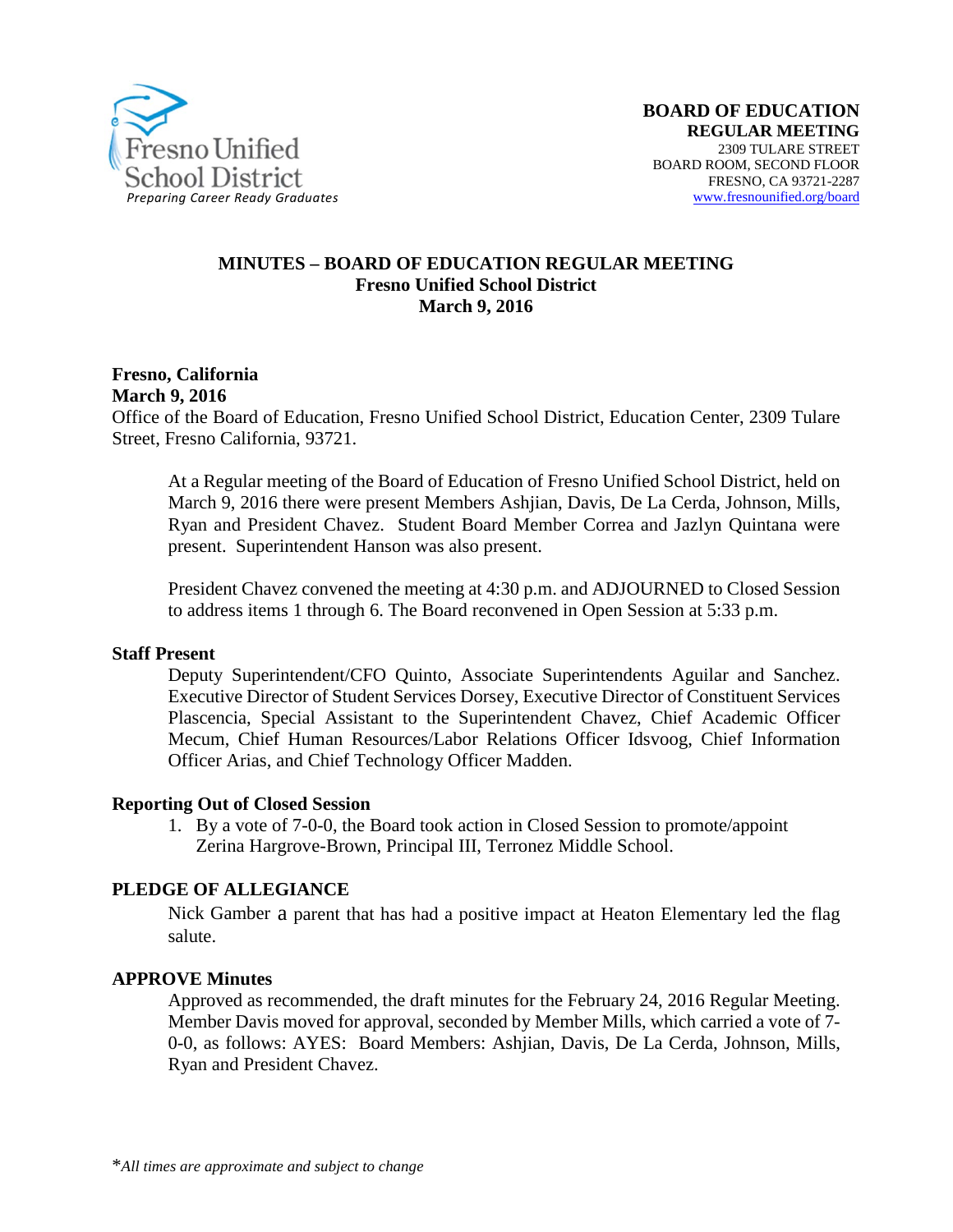

#### **MINUTES – BOARD OF EDUCATION REGULAR MEETING Fresno Unified School District March 9, 2016**

**Fresno, California March 9, 2016**

Office of the Board of Education, Fresno Unified School District, Education Center, 2309 Tulare Street, Fresno California, 93721.

At a Regular meeting of the Board of Education of Fresno Unified School District, held on March 9, 2016 there were present Members Ashjian, Davis, De La Cerda, Johnson, Mills, Ryan and President Chavez. Student Board Member Correa and Jazlyn Quintana were present. Superintendent Hanson was also present.

President Chavez convened the meeting at 4:30 p.m. and ADJOURNED to Closed Session to address items 1 through 6. The Board reconvened in Open Session at 5:33 p.m.

#### **Staff Present**

Deputy Superintendent/CFO Quinto, Associate Superintendents Aguilar and Sanchez. Executive Director of Student Services Dorsey, Executive Director of Constituent Services Plascencia, Special Assistant to the Superintendent Chavez, Chief Academic Officer Mecum, Chief Human Resources/Labor Relations Officer Idsvoog, Chief Information Officer Arias, and Chief Technology Officer Madden.

#### **Reporting Out of Closed Session**

1. By a vote of 7-0-0, the Board took action in Closed Session to promote/appoint Zerina Hargrove-Brown, Principal III, Terronez Middle School.

#### **PLEDGE OF ALLEGIANCE**

Nick Gamber a parent that has had a positive impact at Heaton Elementary led the flag salute.

#### **APPROVE Minutes**

Approved as recommended, the draft minutes for the February 24, 2016 Regular Meeting. Member Davis moved for approval, seconded by Member Mills, which carried a vote of 7- 0-0, as follows: AYES: Board Members: Ashjian, Davis, De La Cerda, Johnson, Mills, Ryan and President Chavez.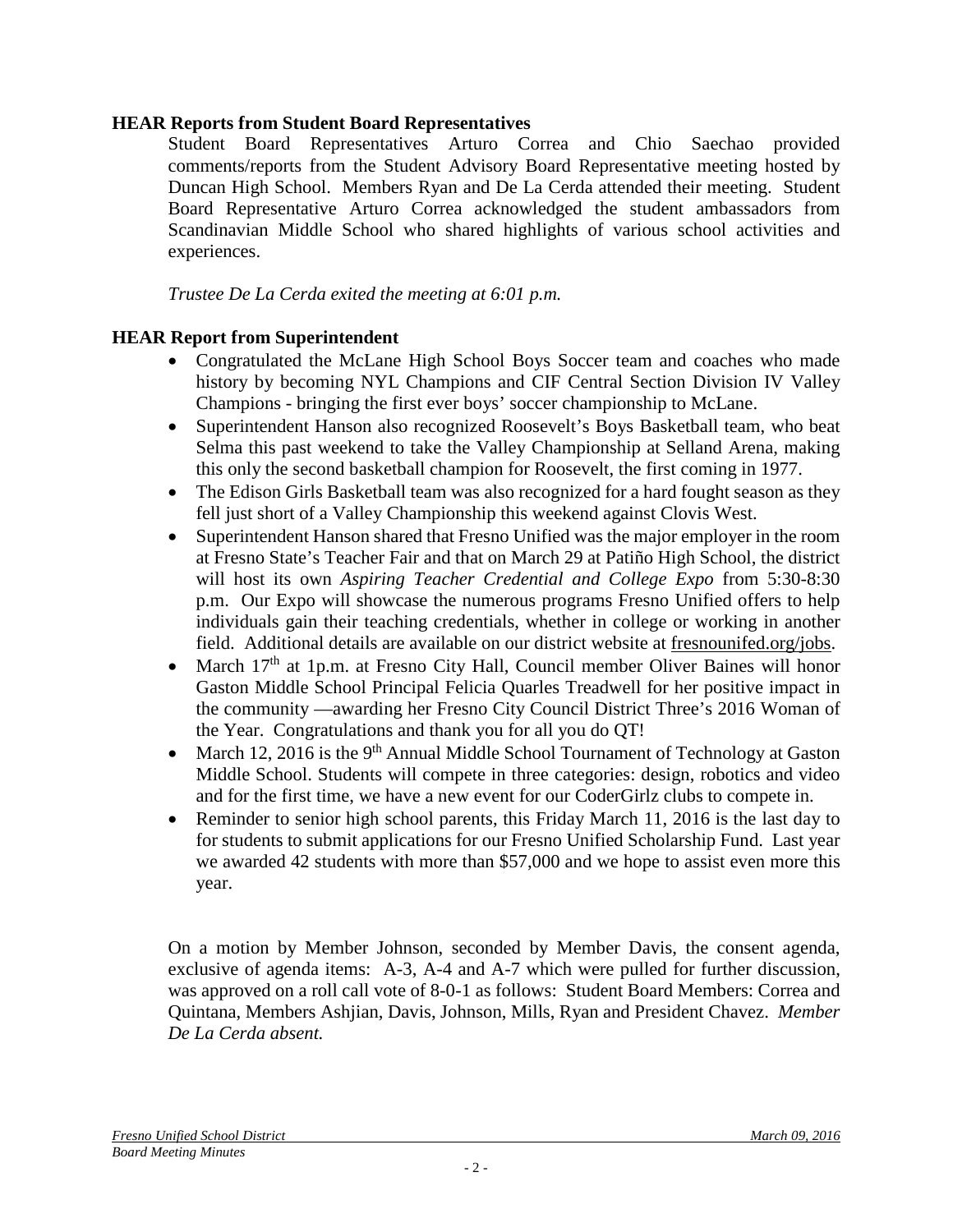## **HEAR Reports from Student Board Representatives**

Student Board Representatives Arturo Correa and Chio Saechao provided comments/reports from the Student Advisory Board Representative meeting hosted by Duncan High School. Members Ryan and De La Cerda attended their meeting. Student Board Representative Arturo Correa acknowledged the student ambassadors from Scandinavian Middle School who shared highlights of various school activities and experiences.

*Trustee De La Cerda exited the meeting at 6:01 p.m.*

## **HEAR Report from Superintendent**

- Congratulated the McLane High School Boys Soccer team and coaches who made history by becoming NYL Champions and CIF Central Section Division IV Valley Champions - bringing the first ever boys' soccer championship to McLane.
- Superintendent Hanson also recognized Roosevelt's Boys Basketball team, who beat Selma this past weekend to take the Valley Championship at Selland Arena, making this only the second basketball champion for Roosevelt, the first coming in 1977.
- The Edison Girls Basketball team was also recognized for a hard fought season as they fell just short of a Valley Championship this weekend against Clovis West.
- Superintendent Hanson shared that Fresno Unified was the major employer in the room at Fresno State's Teacher Fair and that on March 29 at Patiño High School, the district will host its own *Aspiring Teacher Credential and College Expo* from 5:30-8:30 p.m. Our Expo will showcase the numerous programs Fresno Unified offers to help individuals gain their teaching credentials, whether in college or working in another field. Additional details are available on our district website at [fresnounifed.org/jobs.](http://www.fresnounified.org/dept/hr/career/Webpages/job-fairs.aspx)
- March 17<sup>th</sup> at 1p.m. at Fresno City Hall, Council member Oliver Baines will honor Gaston Middle School Principal Felicia Quarles Treadwell for her positive impact in the community —awarding her Fresno City Council District Three's 2016 Woman of the Year. Congratulations and thank you for all you do QT!
- March 12, 2016 is the 9<sup>th</sup> Annual Middle School Tournament of Technology at Gaston Middle School. Students will compete in three categories: design, robotics and video and for the first time, we have a new event for our CoderGirlz clubs to compete in.
- Reminder to senior high school parents, this Friday March 11, 2016 is the last day to for students to submit applications for our Fresno Unified Scholarship Fund. Last year we awarded 42 students with more than \$57,000 and we hope to assist even more this year.

On a motion by Member Johnson, seconded by Member Davis, the consent agenda, exclusive of agenda items: A-3, A-4 and A-7 which were pulled for further discussion, was approved on a roll call vote of 8-0-1 as follows: Student Board Members: Correa and Quintana, Members Ashjian, Davis, Johnson, Mills, Ryan and President Chavez. *Member De La Cerda absent.*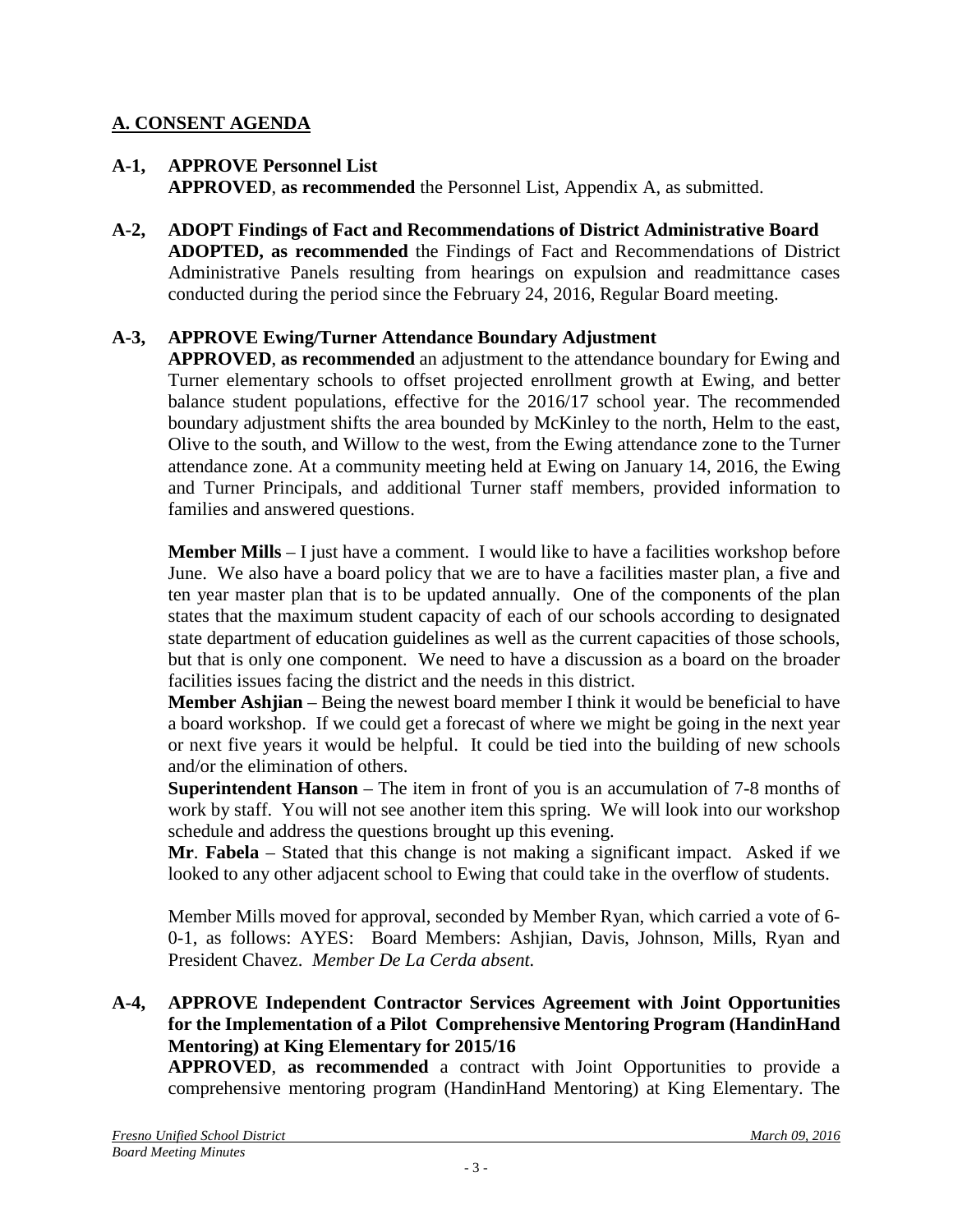## **A. CONSENT AGENDA**

#### **A-1, APPROVE Personnel List APPROVED**, **as recommended** the Personnel List, Appendix A, as submitted.

**A-2, ADOPT Findings of Fact and Recommendations of District Administrative Board ADOPTED, as recommended** the Findings of Fact and Recommendations of District Administrative Panels resulting from hearings on expulsion and readmittance cases conducted during the period since the February 24, 2016, Regular Board meeting.

## **A-3, APPROVE Ewing/Turner Attendance Boundary Adjustment**

**APPROVED**, **as recommended** an adjustment to the attendance boundary for Ewing and Turner elementary schools to offset projected enrollment growth at Ewing, and better balance student populations, effective for the 2016/17 school year. The recommended boundary adjustment shifts the area bounded by McKinley to the north, Helm to the east, Olive to the south, and Willow to the west, from the Ewing attendance zone to the Turner attendance zone. At a community meeting held at Ewing on January 14, 2016, the Ewing and Turner Principals, and additional Turner staff members, provided information to families and answered questions.

**Member Mills** – I just have a comment. I would like to have a facilities workshop before June. We also have a board policy that we are to have a facilities master plan, a five and ten year master plan that is to be updated annually. One of the components of the plan states that the maximum student capacity of each of our schools according to designated state department of education guidelines as well as the current capacities of those schools, but that is only one component. We need to have a discussion as a board on the broader facilities issues facing the district and the needs in this district.

**Member Ashjian** – Being the newest board member I think it would be beneficial to have a board workshop. If we could get a forecast of where we might be going in the next year or next five years it would be helpful. It could be tied into the building of new schools and/or the elimination of others.

**Superintendent Hanson** – The item in front of you is an accumulation of 7-8 months of work by staff. You will not see another item this spring. We will look into our workshop schedule and address the questions brought up this evening.

**Mr**. **Fabela** – Stated that this change is not making a significant impact. Asked if we looked to any other adjacent school to Ewing that could take in the overflow of students.

Member Mills moved for approval, seconded by Member Ryan, which carried a vote of 6- 0-1, as follows: AYES: Board Members: Ashjian, Davis, Johnson, Mills, Ryan and President Chavez. *Member De La Cerda absent.*

## **A-4, APPROVE Independent Contractor Services Agreement with Joint Opportunities for the Implementation of a Pilot Comprehensive Mentoring Program (HandinHand Mentoring) at King Elementary for 2015/16**

**APPROVED**, **as recommended** a contract with Joint Opportunities to provide a comprehensive mentoring program (HandinHand Mentoring) at King Elementary. The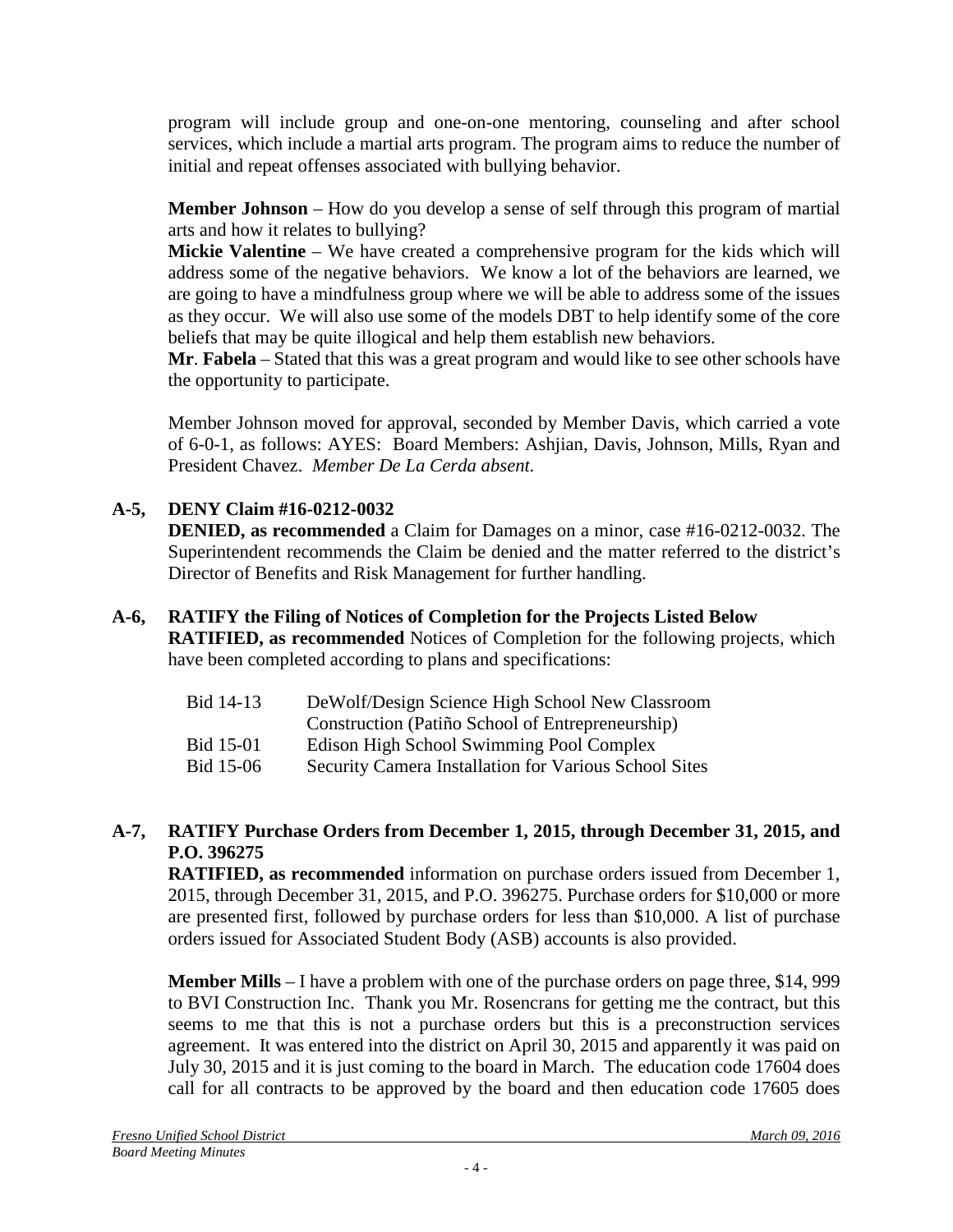program will include group and one-on-one mentoring, counseling and after school services, which include a martial arts program. The program aims to reduce the number of initial and repeat offenses associated with bullying behavior.

**Member Johnson** – How do you develop a sense of self through this program of martial arts and how it relates to bullying?

**Mickie Valentine** – We have created a comprehensive program for the kids which will address some of the negative behaviors. We know a lot of the behaviors are learned, we are going to have a mindfulness group where we will be able to address some of the issues as they occur. We will also use some of the models DBT to help identify some of the core beliefs that may be quite illogical and help them establish new behaviors.

**Mr**. **Fabela** – Stated that this was a great program and would like to see other schools have the opportunity to participate.

Member Johnson moved for approval, seconded by Member Davis, which carried a vote of 6-0-1, as follows: AYES: Board Members: Ashjian, Davis, Johnson, Mills, Ryan and President Chavez. *Member De La Cerda absent.*

# **A-5, DENY Claim #16-0212-0032**

**DENIED, as recommended** a Claim for Damages on a minor, case #16-0212-0032. The Superintendent recommends the Claim be denied and the matter referred to the district's Director of Benefits and Risk Management for further handling.

## **A-6, RATIFY the Filing of Notices of Completion for the Projects Listed Below**

**RATIFIED, as recommended** Notices of Completion for the following projects, which have been completed according to plans and specifications:

- Bid 14-13 DeWolf/Design Science High School New Classroom
- Construction (Patiño School of Entrepreneurship)
- Bid 15-01 Edison High School Swimming Pool Complex
- Bid 15-06 Security Camera Installation for Various School Sites

## **A-7, RATIFY Purchase Orders from December 1, 2015, through December 31, 2015, and P.O. 396275**

**RATIFIED, as recommended** information on purchase orders issued from December 1, 2015, through December 31, 2015, and P.O. 396275. Purchase orders for \$10,000 or more are presented first, followed by purchase orders for less than \$10,000. A list of purchase orders issued for Associated Student Body (ASB) accounts is also provided.

**Member Mills** – I have a problem with one of the purchase orders on page three, \$14, 999 to BVI Construction Inc. Thank you Mr. Rosencrans for getting me the contract, but this seems to me that this is not a purchase orders but this is a preconstruction services agreement. It was entered into the district on April 30, 2015 and apparently it was paid on July 30, 2015 and it is just coming to the board in March. The education code 17604 does call for all contracts to be approved by the board and then education code 17605 does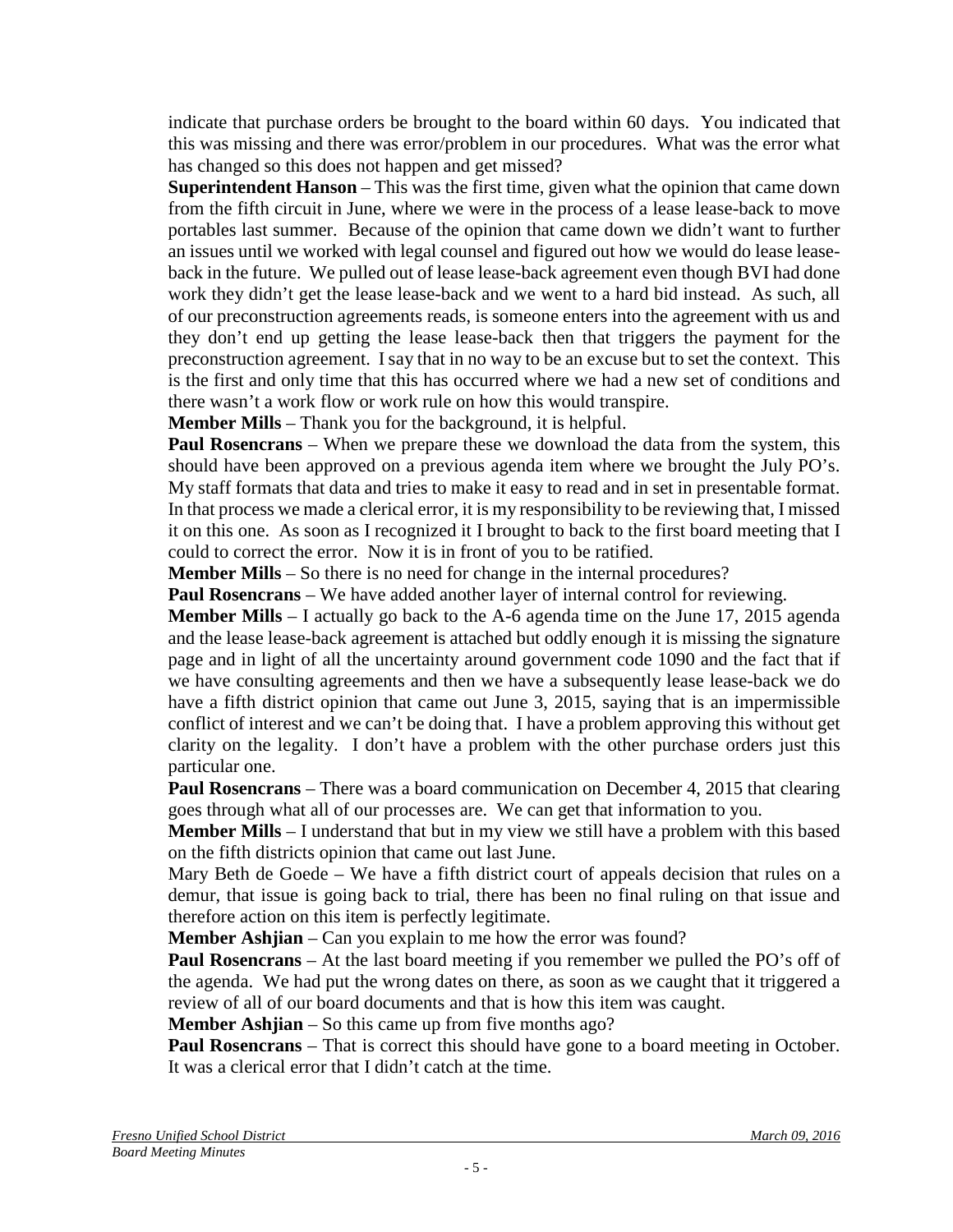indicate that purchase orders be brought to the board within 60 days. You indicated that this was missing and there was error/problem in our procedures. What was the error what has changed so this does not happen and get missed?

**Superintendent Hanson** – This was the first time, given what the opinion that came down from the fifth circuit in June, where we were in the process of a lease lease-back to move portables last summer. Because of the opinion that came down we didn't want to further an issues until we worked with legal counsel and figured out how we would do lease leaseback in the future. We pulled out of lease lease-back agreement even though BVI had done work they didn't get the lease lease-back and we went to a hard bid instead. As such, all of our preconstruction agreements reads, is someone enters into the agreement with us and they don't end up getting the lease lease-back then that triggers the payment for the preconstruction agreement. I say that in no way to be an excuse but to set the context. This is the first and only time that this has occurred where we had a new set of conditions and there wasn't a work flow or work rule on how this would transpire.

**Member Mills** – Thank you for the background, it is helpful.

**Paul Rosencrans** – When we prepare these we download the data from the system, this should have been approved on a previous agenda item where we brought the July PO's. My staff formats that data and tries to make it easy to read and in set in presentable format. In that process we made a clerical error, it is my responsibility to be reviewing that, I missed it on this one. As soon as I recognized it I brought to back to the first board meeting that I could to correct the error. Now it is in front of you to be ratified.

**Member Mills** – So there is no need for change in the internal procedures?

**Paul Rosencrans** – We have added another layer of internal control for reviewing.

**Member Mills** – I actually go back to the A-6 agenda time on the June 17, 2015 agenda and the lease lease-back agreement is attached but oddly enough it is missing the signature page and in light of all the uncertainty around government code 1090 and the fact that if we have consulting agreements and then we have a subsequently lease lease-back we do have a fifth district opinion that came out June 3, 2015, saying that is an impermissible conflict of interest and we can't be doing that. I have a problem approving this without get clarity on the legality. I don't have a problem with the other purchase orders just this particular one.

**Paul Rosencrans** – There was a board communication on December 4, 2015 that clearing goes through what all of our processes are. We can get that information to you.

**Member Mills** – I understand that but in my view we still have a problem with this based on the fifth districts opinion that came out last June.

Mary Beth de Goede – We have a fifth district court of appeals decision that rules on a demur, that issue is going back to trial, there has been no final ruling on that issue and therefore action on this item is perfectly legitimate.

**Member Ashjian** – Can you explain to me how the error was found?

**Paul Rosencrans** – At the last board meeting if you remember we pulled the PO's off of the agenda. We had put the wrong dates on there, as soon as we caught that it triggered a review of all of our board documents and that is how this item was caught.

**Member Ashjian** – So this came up from five months ago?

**Paul Rosencrans** – That is correct this should have gone to a board meeting in October. It was a clerical error that I didn't catch at the time.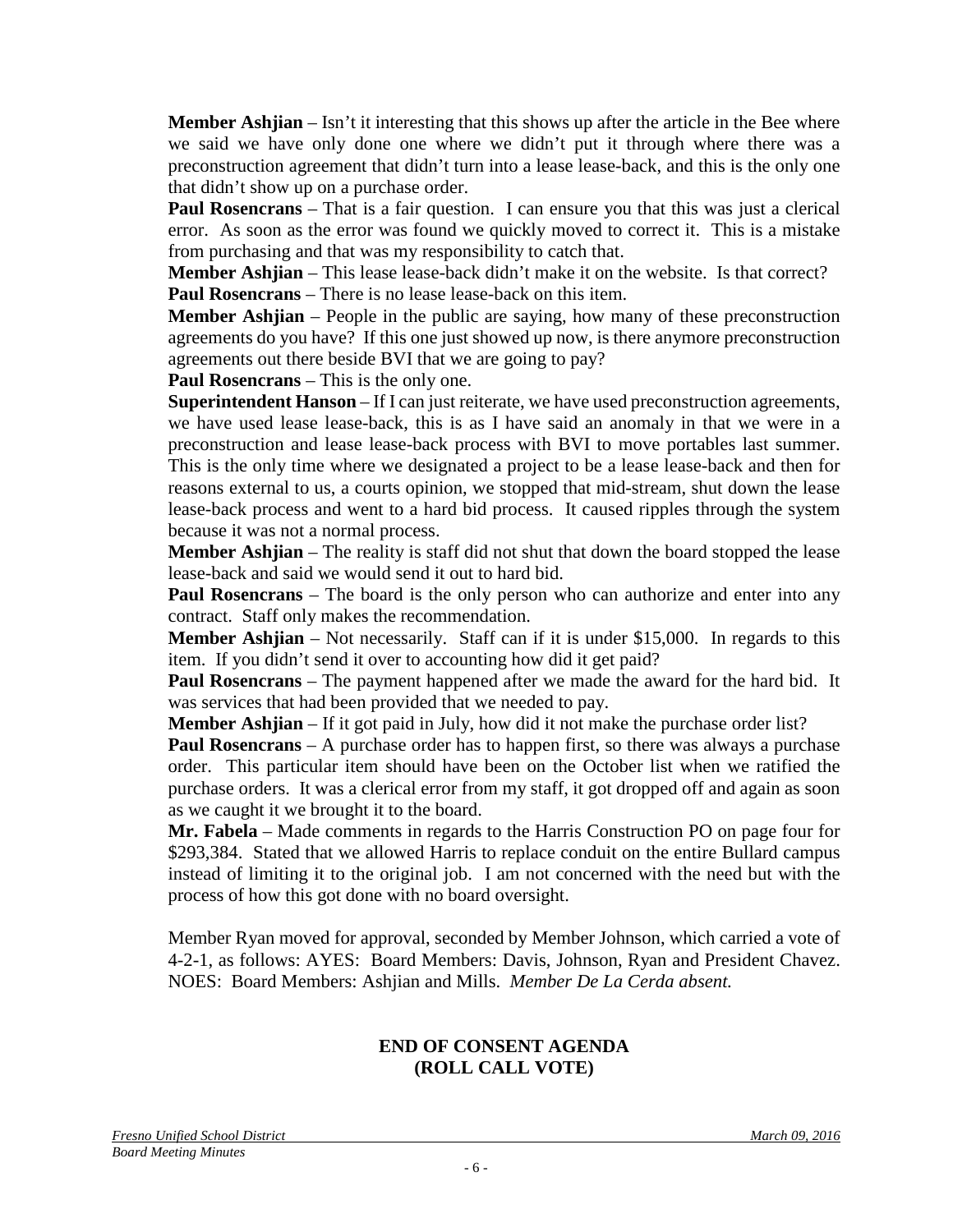**Member Ashijan** – Isn't it interesting that this shows up after the article in the Bee where we said we have only done one where we didn't put it through where there was a preconstruction agreement that didn't turn into a lease lease-back, and this is the only one that didn't show up on a purchase order.

**Paul Rosencrans** – That is a fair question. I can ensure you that this was just a clerical error. As soon as the error was found we quickly moved to correct it. This is a mistake from purchasing and that was my responsibility to catch that.

**Member Ashjian** – This lease lease-back didn't make it on the website. Is that correct? **Paul Rosencrans** – There is no lease lease-back on this item.

**Member Ashjian** – People in the public are saying, how many of these preconstruction agreements do you have? If this one just showed up now, is there anymore preconstruction agreements out there beside BVI that we are going to pay?

**Paul Rosencrans** – This is the only one.

**Superintendent Hanson** – If I can just reiterate, we have used preconstruction agreements, we have used lease lease-back, this is as I have said an anomaly in that we were in a preconstruction and lease lease-back process with BVI to move portables last summer. This is the only time where we designated a project to be a lease lease-back and then for reasons external to us, a courts opinion, we stopped that mid-stream, shut down the lease lease-back process and went to a hard bid process. It caused ripples through the system because it was not a normal process.

**Member Ashjian** – The reality is staff did not shut that down the board stopped the lease lease-back and said we would send it out to hard bid.

**Paul Rosencrans** – The board is the only person who can authorize and enter into any contract. Staff only makes the recommendation.

**Member Ashjian** – Not necessarily. Staff can if it is under \$15,000. In regards to this item. If you didn't send it over to accounting how did it get paid?

**Paul Rosencrans** – The payment happened after we made the award for the hard bid. It was services that had been provided that we needed to pay.

**Member Ashjian** – If it got paid in July, how did it not make the purchase order list?

**Paul Rosencrans** – A purchase order has to happen first, so there was always a purchase order. This particular item should have been on the October list when we ratified the purchase orders. It was a clerical error from my staff, it got dropped off and again as soon as we caught it we brought it to the board.

**Mr. Fabela** – Made comments in regards to the Harris Construction PO on page four for \$293,384. Stated that we allowed Harris to replace conduit on the entire Bullard campus instead of limiting it to the original job. I am not concerned with the need but with the process of how this got done with no board oversight.

Member Ryan moved for approval, seconded by Member Johnson, which carried a vote of 4-2-1, as follows: AYES: Board Members: Davis, Johnson, Ryan and President Chavez. NOES: Board Members: Ashjian and Mills. *Member De La Cerda absent.*

#### **END OF CONSENT AGENDA (ROLL CALL VOTE)**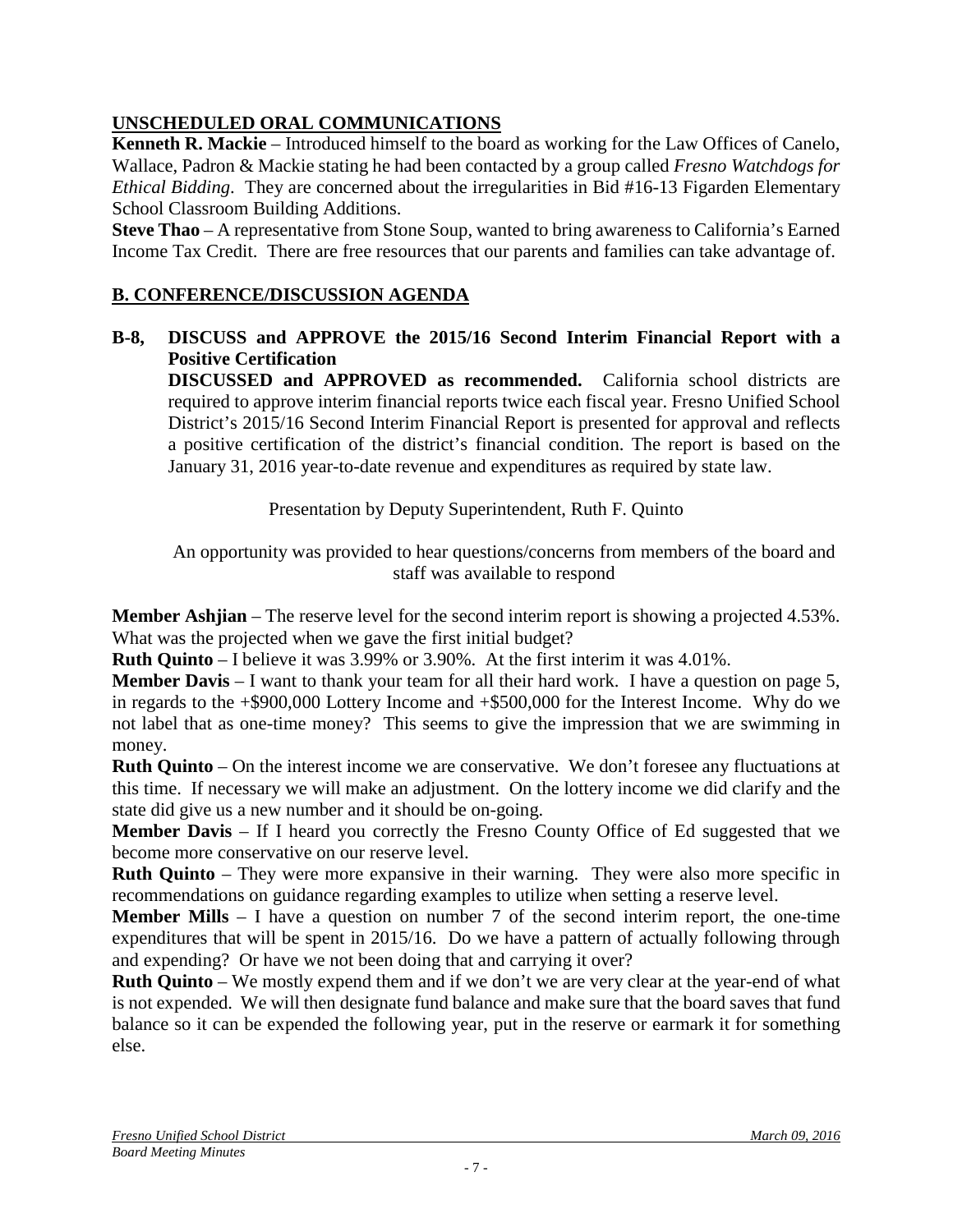# **UNSCHEDULED ORAL COMMUNICATIONS**

**Kenneth R. Mackie** – Introduced himself to the board as working for the Law Offices of Canelo, Wallace, Padron & Mackie stating he had been contacted by a group called *Fresno Watchdogs for Ethical Bidding*. They are concerned about the irregularities in Bid #16-13 Figarden Elementary School Classroom Building Additions.

**Steve Thao** – A representative from Stone Soup, wanted to bring awareness to California's Earned Income Tax Credit. There are free resources that our parents and families can take advantage of.

# **B. CONFERENCE/DISCUSSION AGENDA**

## **B-8, DISCUSS and APPROVE the 2015/16 Second Interim Financial Report with a Positive Certification**

**DISCUSSED and APPROVED as recommended.** California school districts are required to approve interim financial reports twice each fiscal year. Fresno Unified School District's 2015/16 Second Interim Financial Report is presented for approval and reflects a positive certification of the district's financial condition. The report is based on the January 31, 2016 year-to-date revenue and expenditures as required by state law.

Presentation by Deputy Superintendent, Ruth F. Quinto

An opportunity was provided to hear questions/concerns from members of the board and staff was available to respond

**Member Ashjian** – The reserve level for the second interim report is showing a projected 4.53%. What was the projected when we gave the first initial budget?

**Ruth Quinto** – I believe it was 3.99% or 3.90%. At the first interim it was 4.01%.

**Member Davis** – I want to thank your team for all their hard work. I have a question on page 5, in regards to the +\$900,000 Lottery Income and +\$500,000 for the Interest Income. Why do we not label that as one-time money? This seems to give the impression that we are swimming in money.

**Ruth Quinto** – On the interest income we are conservative. We don't foresee any fluctuations at this time. If necessary we will make an adjustment. On the lottery income we did clarify and the state did give us a new number and it should be on-going.

**Member Davis** – If I heard you correctly the Fresno County Office of Ed suggested that we become more conservative on our reserve level.

**Ruth Quinto** – They were more expansive in their warning. They were also more specific in recommendations on guidance regarding examples to utilize when setting a reserve level.

**Member Mills** – I have a question on number 7 of the second interim report, the one-time expenditures that will be spent in 2015/16. Do we have a pattern of actually following through and expending? Or have we not been doing that and carrying it over?

**Ruth Quinto** – We mostly expend them and if we don't we are very clear at the year-end of what is not expended. We will then designate fund balance and make sure that the board saves that fund balance so it can be expended the following year, put in the reserve or earmark it for something else.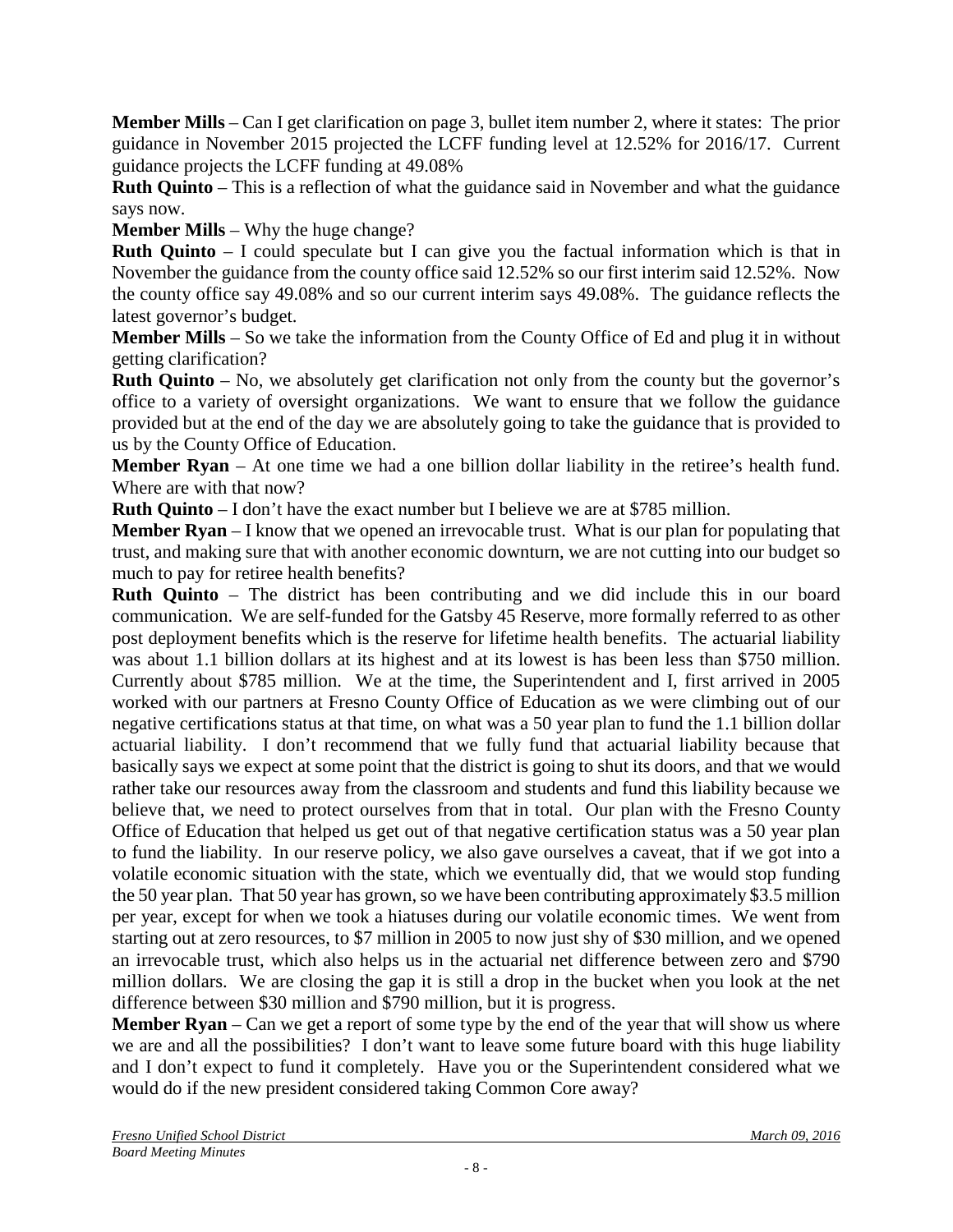**Member Mills** – Can I get clarification on page 3, bullet item number 2, where it states: The prior guidance in November 2015 projected the LCFF funding level at 12.52% for 2016/17. Current guidance projects the LCFF funding at 49.08%

**Ruth Quinto** – This is a reflection of what the guidance said in November and what the guidance says now.

**Member Mills** – Why the huge change?

**Ruth Quinto** – I could speculate but I can give you the factual information which is that in November the guidance from the county office said 12.52% so our first interim said 12.52%. Now the county office say 49.08% and so our current interim says 49.08%. The guidance reflects the latest governor's budget.

**Member Mills** – So we take the information from the County Office of Ed and plug it in without getting clarification?

**Ruth Quinto** – No, we absolutely get clarification not only from the county but the governor's office to a variety of oversight organizations. We want to ensure that we follow the guidance provided but at the end of the day we are absolutely going to take the guidance that is provided to us by the County Office of Education.

**Member Ryan** – At one time we had a one billion dollar liability in the retiree's health fund. Where are with that now?

**Ruth Quinto** – I don't have the exact number but I believe we are at \$785 million.

**Member Ryan** – I know that we opened an irrevocable trust. What is our plan for populating that trust, and making sure that with another economic downturn, we are not cutting into our budget so much to pay for retiree health benefits?

**Ruth Quinto** – The district has been contributing and we did include this in our board communication. We are self-funded for the Gatsby 45 Reserve, more formally referred to as other post deployment benefits which is the reserve for lifetime health benefits. The actuarial liability was about 1.1 billion dollars at its highest and at its lowest is has been less than \$750 million. Currently about \$785 million. We at the time, the Superintendent and I, first arrived in 2005 worked with our partners at Fresno County Office of Education as we were climbing out of our negative certifications status at that time, on what was a 50 year plan to fund the 1.1 billion dollar actuarial liability. I don't recommend that we fully fund that actuarial liability because that basically says we expect at some point that the district is going to shut its doors, and that we would rather take our resources away from the classroom and students and fund this liability because we believe that, we need to protect ourselves from that in total. Our plan with the Fresno County Office of Education that helped us get out of that negative certification status was a 50 year plan to fund the liability. In our reserve policy, we also gave ourselves a caveat, that if we got into a volatile economic situation with the state, which we eventually did, that we would stop funding the 50 year plan. That 50 year has grown, so we have been contributing approximately \$3.5 million per year, except for when we took a hiatuses during our volatile economic times. We went from starting out at zero resources, to \$7 million in 2005 to now just shy of \$30 million, and we opened an irrevocable trust, which also helps us in the actuarial net difference between zero and \$790 million dollars. We are closing the gap it is still a drop in the bucket when you look at the net difference between \$30 million and \$790 million, but it is progress.

**Member Ryan** – Can we get a report of some type by the end of the year that will show us where we are and all the possibilities? I don't want to leave some future board with this huge liability and I don't expect to fund it completely. Have you or the Superintendent considered what we would do if the new president considered taking Common Core away?